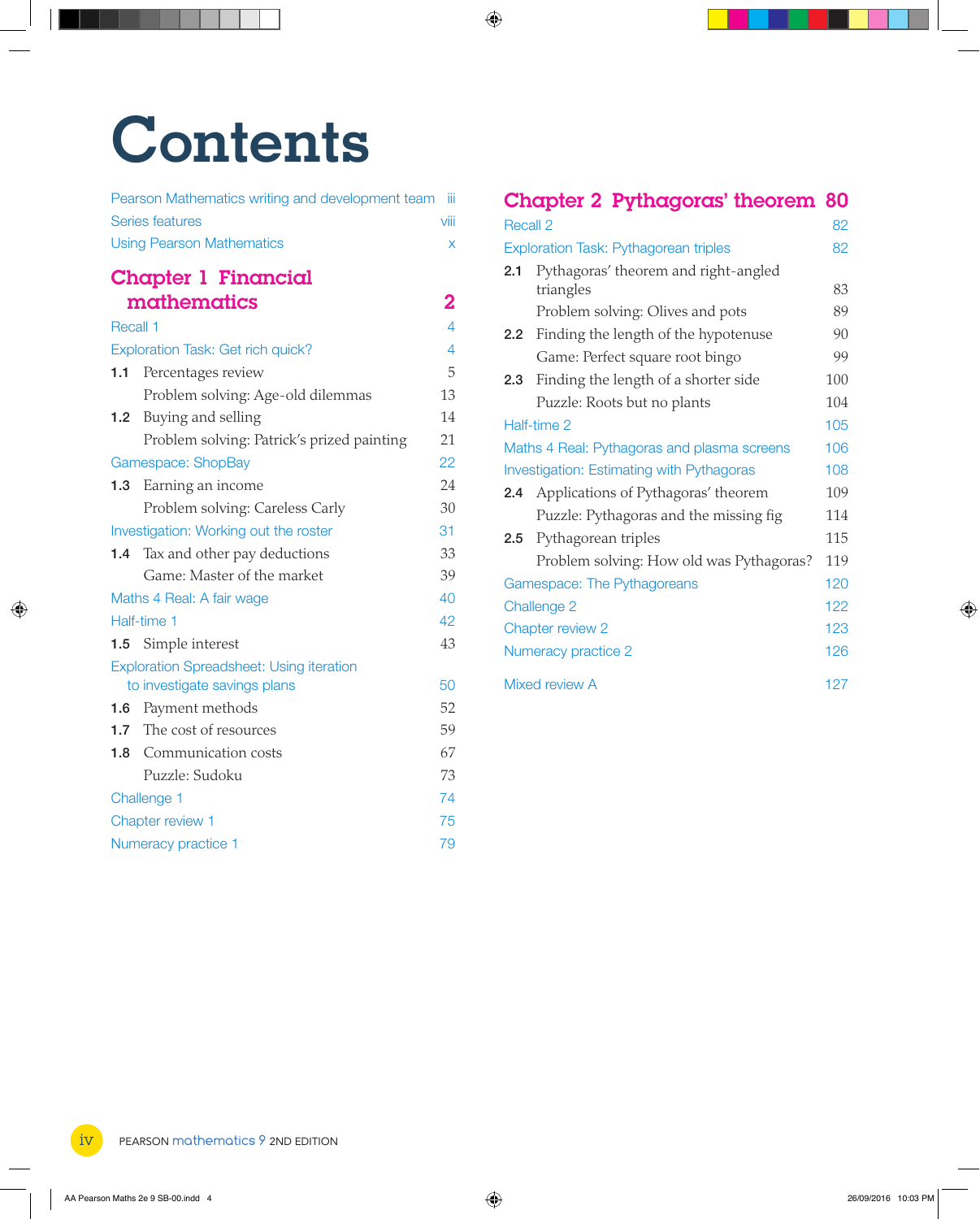## **Contents**

|                     | Pearson Mathematics writing and development team | - iii |
|---------------------|--------------------------------------------------|-------|
|                     | Series features                                  | viii  |
|                     | <b>Using Pearson Mathematics</b>                 | X     |
|                     | <b>Chapter 1 Financial</b>                       |       |
|                     | mathematics                                      | 2     |
| Recall 1            |                                                  | 4     |
|                     | Exploration Task: Get rich quick?                | 4     |
| 1.1                 | Percentages review                               | 5     |
|                     | Problem solving: Age-old dilemmas                | 13    |
| 1.2 <sub>2</sub>    | Buying and selling                               | 14    |
|                     | Problem solving: Patrick's prized painting       | 21    |
|                     | Gamespace: ShopBay                               | 22    |
| 1.3                 | Earning an income                                | 24    |
|                     | Problem solving: Careless Carly                  | 30    |
|                     | Investigation: Working out the roster            |       |
| 1.4                 | Tax and other pay deductions                     | 33    |
|                     | Game: Master of the market                       | 39    |
|                     | Maths 4 Real: A fair wage                        | 40    |
|                     | Half-time 1                                      | 42    |
| 1.5                 | Simple interest                                  | 43    |
|                     | <b>Exploration Spreadsheet: Using iteration</b>  |       |
|                     | to investigate savings plans                     | 50    |
| 1.6                 | Payment methods                                  | 52    |
| 1.7                 | The cost of resources                            | 59    |
| 1.8                 | Communication costs                              | 67    |
|                     | Puzzle: Sudoku                                   | 73    |
|                     | 74<br>Challenge 1                                |       |
| Chapter review 1    |                                                  | 75    |
| Numeracy practice 1 |                                                  | 79    |

## Chapter 2 Pythagoras' theorem 80

| <b>Recall 2</b>                                  |                                          |     |  |
|--------------------------------------------------|------------------------------------------|-----|--|
| <b>Exploration Task: Pythagorean triples</b>     |                                          | 82  |  |
| 2.1                                              | Pythagoras' theorem and right-angled     |     |  |
|                                                  | triangles                                | 83  |  |
|                                                  | Problem solving: Olives and pots         | 89  |  |
| 2.2                                              | Finding the length of the hypotenuse     | 90  |  |
|                                                  | Game: Perfect square root bingo          | 99  |  |
| 2.3                                              | Finding the length of a shorter side     | 100 |  |
|                                                  | Puzzle: Roots but no plants              | 104 |  |
| Half-time 2                                      |                                          |     |  |
| Maths 4 Real: Pythagoras and plasma screens      |                                          | 106 |  |
| <b>Investigation: Estimating with Pythagoras</b> |                                          | 108 |  |
| 2.4                                              | Applications of Pythagoras' theorem      | 109 |  |
|                                                  | Puzzle: Pythagoras and the missing fig   | 114 |  |
| 2.5                                              | Pythagorean triples                      | 115 |  |
|                                                  | Problem solving: How old was Pythagoras? | 119 |  |
|                                                  | Gamespace: The Pythagoreans              | 120 |  |
| <b>Challenge 2</b>                               |                                          | 122 |  |
| Chapter review 2                                 |                                          | 123 |  |
| Numeracy practice 2                              |                                          | 126 |  |
| Mixed review A                                   |                                          |     |  |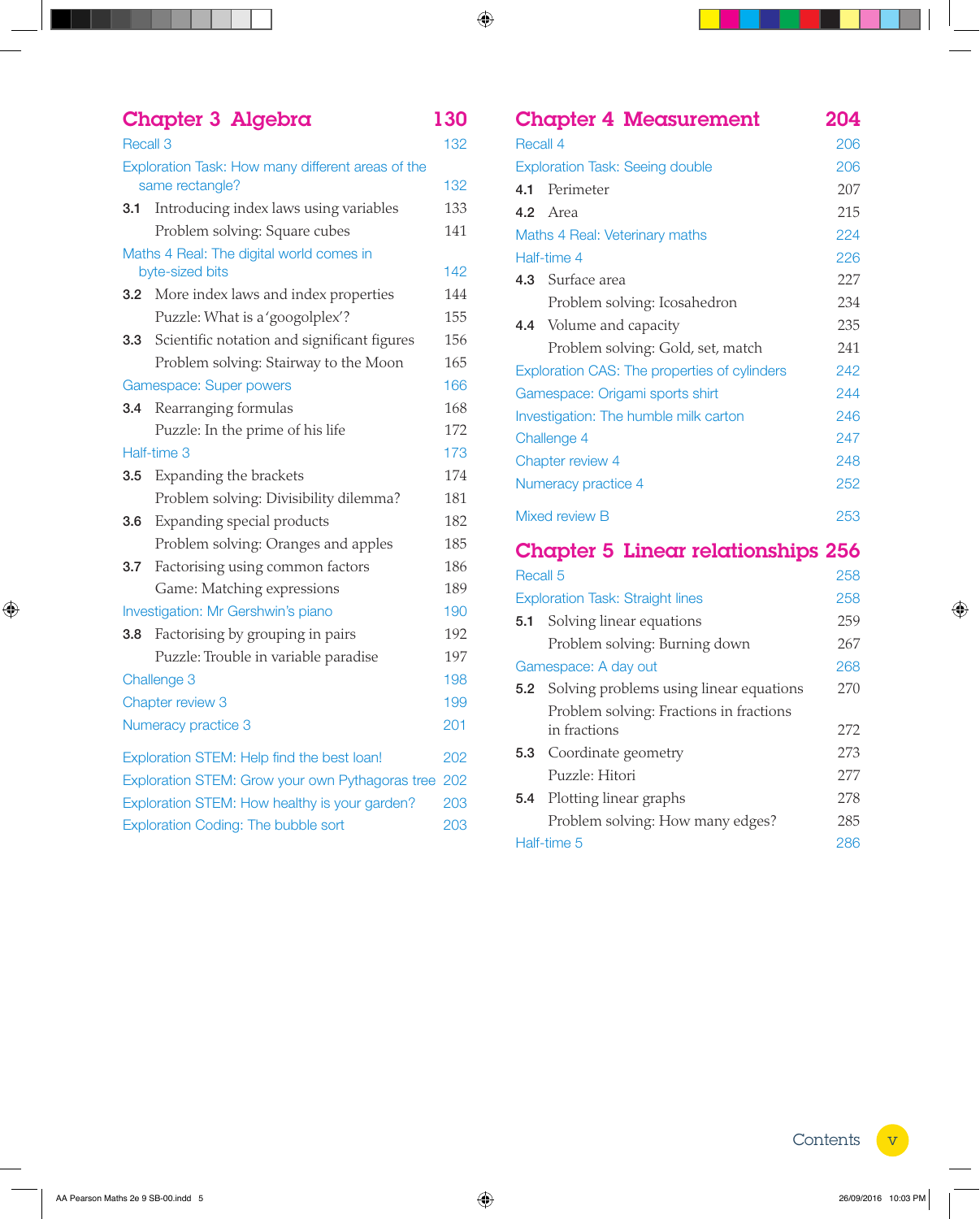|                                                 | <b>Chapter 3 Algebra</b>                          | 130 |
|-------------------------------------------------|---------------------------------------------------|-----|
| Recall 3                                        |                                                   |     |
|                                                 | Exploration Task: How many different areas of the |     |
|                                                 | same rectangle?                                   | 132 |
| 3.1                                             | Introducing index laws using variables            | 133 |
|                                                 | Problem solving: Square cubes                     | 141 |
|                                                 | Maths 4 Real: The digital world comes in          |     |
|                                                 | byte-sized bits                                   | 142 |
| 3.2                                             | More index laws and index properties              | 144 |
|                                                 | Puzzle: What is a 'googolplex'?                   | 155 |
|                                                 | 3.3 Scientific notation and significant figures   | 156 |
|                                                 | Problem solving: Stairway to the Moon             | 165 |
|                                                 | Gamespace: Super powers                           | 166 |
| 3.4                                             | Rearranging formulas                              | 168 |
|                                                 | Puzzle: In the prime of his life                  | 172 |
|                                                 | Half-time 3                                       | 173 |
| 3.5                                             | Expanding the brackets                            | 174 |
|                                                 | Problem solving: Divisibility dilemma?            | 181 |
| 3.6                                             | Expanding special products                        | 182 |
|                                                 | Problem solving: Oranges and apples               | 185 |
| 3.7                                             | Factorising using common factors                  | 186 |
|                                                 | Game: Matching expressions                        | 189 |
|                                                 | Investigation: Mr Gershwin's piano                | 190 |
| 3.8                                             | Factorising by grouping in pairs                  | 192 |
|                                                 | Puzzle: Trouble in variable paradise              | 197 |
|                                                 | Challenge 3                                       | 198 |
|                                                 | Chapter review 3                                  | 199 |
| Numeracy practice 3                             |                                                   |     |
|                                                 | Exploration STEM: Help find the best loan!        | 202 |
| Exploration STEM: Grow your own Pythagoras tree |                                                   |     |
| Exploration STEM: How healthy is your garden?   |                                                   |     |
| Exploration Coding: The bubble sort             |                                                   |     |

|                                        | <b>Chapter 4 Measurement</b>                 | 204 |  |
|----------------------------------------|----------------------------------------------|-----|--|
| Recall 4                               |                                              |     |  |
| <b>Exploration Task: Seeing double</b> |                                              |     |  |
| 4.1                                    | Perimeter                                    | 207 |  |
| 4.2                                    | Area                                         | 215 |  |
|                                        | Maths 4 Real: Veterinary maths               | 224 |  |
|                                        | Half-time 4                                  | 226 |  |
|                                        | 4.3 Surface area                             |     |  |
|                                        | Problem solving: Icosahedron                 | 234 |  |
|                                        | 4.4 Volume and capacity                      | 235 |  |
|                                        | Problem solving: Gold, set, match            | 241 |  |
|                                        | Exploration CAS: The properties of cylinders | 242 |  |
|                                        | Gamespace: Origami sports shirt              | 244 |  |
|                                        | Investigation: The humble milk carton        | 246 |  |
| Challenge 4                            |                                              |     |  |
| Chapter review 4                       |                                              | 248 |  |
| Numeracy practice 4                    |                                              | 252 |  |
| Mixed review B                         |                                              |     |  |
|                                        | <b>Chapter 5 Linear relationships 256</b>    |     |  |
| Recall 5                               |                                              |     |  |
|                                        | <b>Exploration Task: Straight lines</b>      | 258 |  |
| 5.1                                    | Solving linear equations                     | 259 |  |
|                                        | Problem solving: Burning down                | 267 |  |
|                                        | Gamespace: A day out                         | 268 |  |
| 5.2                                    | Solving problems using linear equations      | 270 |  |
|                                        | Problem solving: Fractions in fractions      |     |  |
|                                        | in fractions                                 | 272 |  |
| 5.3                                    | Coordinate geometry                          | 273 |  |
|                                        | Puzzle: Hitori                               | 277 |  |
| 5.4                                    | Plotting linear graphs                       | 278 |  |
|                                        | Problem solving: How many edges?             | 285 |  |
| Half-time 5                            |                                              |     |  |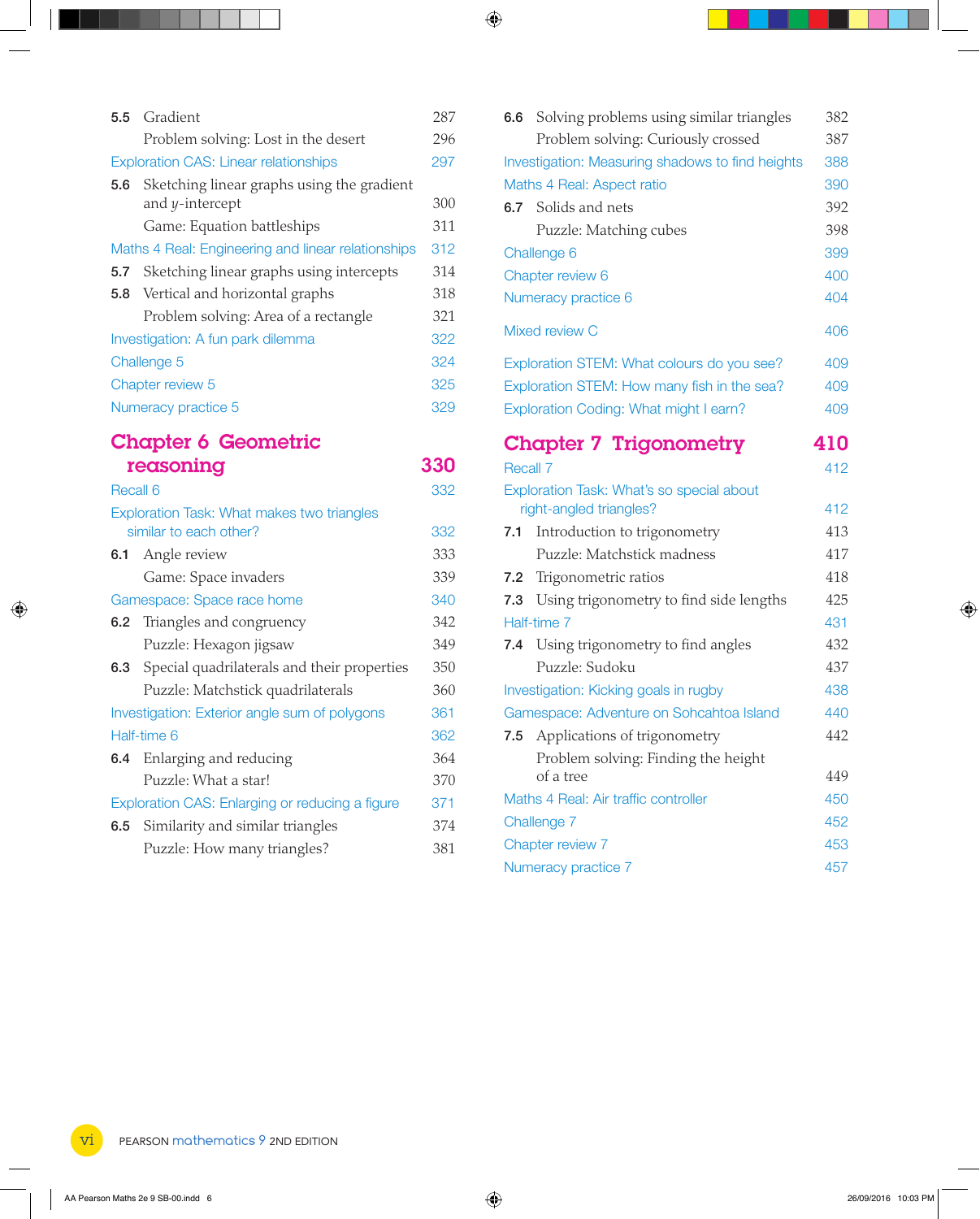| <b>5.5</b> Gradient |                                                               | 287        |
|---------------------|---------------------------------------------------------------|------------|
|                     | Problem solving: Lost in the desert                           | 296        |
|                     | <b>Exploration CAS: Linear relationships</b>                  | 297        |
| 5.6                 | Sketching linear graphs using the gradient<br>and y-intercept | 300        |
|                     | Game: Equation battleships                                    | 311        |
|                     | Maths 4 Real: Engineering and linear relationships            | 312        |
|                     | <b>5.7</b> Sketching linear graphs using intercepts           | 314        |
|                     | 5.8 Vertical and horizontal graphs                            | 318        |
|                     | Problem solving: Area of a rectangle                          | 321        |
|                     | Investigation: A fun park dilemma                             | 322        |
| Challenge 5         |                                                               |            |
| Chapter review 5    |                                                               | 325        |
|                     | Numeracy practice 5                                           | 329        |
|                     | <b>Chapter 6 Geometric</b>                                    |            |
|                     | reasoning                                                     | <b>330</b> |
| Recall 6            |                                                               | 332        |
|                     | Exploration Task: What makes two triangles                    |            |

|                                               | Exploration Task: What makes two triangles      |     |
|-----------------------------------------------|-------------------------------------------------|-----|
|                                               | similar to each other?                          | 332 |
|                                               | <b>6.1</b> Angle review                         | 333 |
|                                               | Game: Space invaders                            | 339 |
| Gamespace: Space race home                    |                                                 |     |
|                                               | 6.2 Triangles and congruency                    | 342 |
|                                               | Puzzle: Hexagon jigsaw                          | 349 |
|                                               | 6.3 Special quadrilaterals and their properties | 350 |
|                                               | Puzzle: Matchstick quadrilaterals               | 360 |
| Investigation: Exterior angle sum of polygons |                                                 |     |
| Half-time 6                                   |                                                 |     |
|                                               | <b>6.4</b> Enlarging and reducing               | 364 |
|                                               | Puzzle: What a star!                            | 370 |
|                                               | Exploration CAS: Enlarging or reducing a figure | 371 |
|                                               | <b>6.5</b> Similarity and similar triangles     | 374 |
|                                               | Puzzle: How many triangles?                     | 381 |
|                                               |                                                 |     |

| 6.6                                  | Solving problems using similar triangles                             | 382 |
|--------------------------------------|----------------------------------------------------------------------|-----|
|                                      | Problem solving: Curiously crossed                                   | 387 |
|                                      | Investigation: Measuring shadows to find heights                     | 388 |
| Maths 4 Real: Aspect ratio           |                                                                      |     |
|                                      | <b>6.7</b> Solids and nets                                           | 392 |
|                                      | Puzzle: Matching cubes                                               | 398 |
|                                      | Challenge 6                                                          | 399 |
| Chapter review 6                     |                                                                      |     |
|                                      | Numeracy practice 6                                                  | 404 |
|                                      | Mixed review C                                                       | 406 |
|                                      | Exploration STEM: What colours do you see?                           | 409 |
|                                      | Exploration STEM: How many fish in the sea?                          | 409 |
|                                      | Exploration Coding: What might I earn?                               | 409 |
|                                      | <b>Chapter 7 Trigonometry</b>                                        | 410 |
| Recall 7                             |                                                                      | 412 |
|                                      | Exploration Task: What's so special about<br>right-angled triangles? | 412 |
| 7.1                                  | Introduction to trigonometry                                         | 413 |
|                                      | Puzzle: Matchstick madness                                           | 417 |
| 7.2                                  | Trigonometric ratios                                                 | 418 |
| 7.3                                  | Using trigonometry to find side lengths                              | 425 |
|                                      | Half-time 7                                                          | 431 |
| 7.4                                  | Using trigonometry to find angles                                    | 432 |
|                                      | Puzzle: Sudoku                                                       | 437 |
|                                      | Investigation: Kicking goals in rugby                                | 438 |
|                                      | Gamespace: Adventure on Sohcahtoa Island                             | 440 |
|                                      | 7.5 Applications of trigonometry                                     | 442 |
|                                      | Problem solving: Finding the height<br>of a tree                     | 449 |
| Maths 4 Real: Air traffic controller |                                                                      | 450 |
| Challenge 7                          |                                                                      | 452 |
| Chapter review 7                     |                                                                      |     |
| Numeracy practice 7                  |                                                                      |     |
|                                      |                                                                      |     |